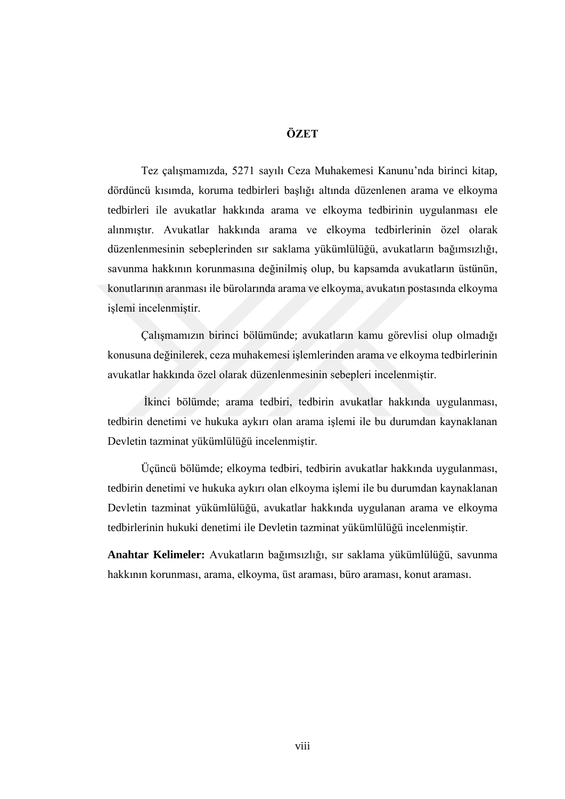## **ÖZET**

Tez çalışmamızda, 5271 sayılı Ceza Muhakemesi Kanunu'nda birinci kitap, dördüncü kısımda, koruma tedbirleri başlığı altında düzenlenen arama ve elkoyma tedbirleri ile avukatlar hakkında arama ve elkoyma tedbirinin uygulanması ele alınmıştır. Avukatlar hakkında arama ve elkoyma tedbirlerinin özel olarak düzenlenmesinin sebeplerinden sır saklama yükümlülüğü, avukatların bağımsızlığı, savunma hakkının korunmasına değinilmiş olup, bu kapsamda avukatların üstünün, konutlarının aranması ile bürolarında arama ve elkoyma, avukatın postasında elkoyma işlemi incelenmiştir.

Çalışmamızın birinci bölümünde; avukatların kamu görevlisi olup olmadığı konusuna değinilerek, ceza muhakemesi işlemlerinden arama ve elkoyma tedbirlerinin avukatlar hakkında özel olarak düzenlenmesinin sebepleri incelenmiştir.

İkinci bölümde; arama tedbiri, tedbirin avukatlar hakkında uygulanması, tedbirin denetimi ve hukuka aykırı olan arama işlemi ile bu durumdan kaynaklanan Devletin tazminat yükümlülüğü incelenmiştir.

Üçüncü bölümde; elkoyma tedbiri, tedbirin avukatlar hakkında uygulanması, tedbirin denetimi ve hukuka aykırı olan elkoyma işlemi ile bu durumdan kaynaklanan Devletin tazminat yükümlülüğü, avukatlar hakkında uygulanan arama ve elkoyma tedbirlerinin hukuki denetimi ile Devletin tazminat yükümlülüğü incelenmiştir.

**Anahtar Kelimeler:** Avukatların bağımsızlığı, sır saklama yükümlülüğü, savunma hakkının korunması, arama, elkoyma, üst araması, büro araması, konut araması.